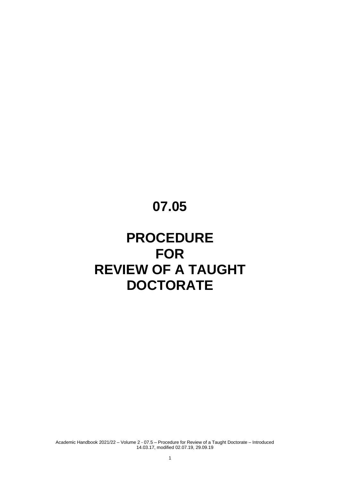# **07.05**

# **PROCEDURE FOR REVIEW OF A TAUGHT DOCTORATE**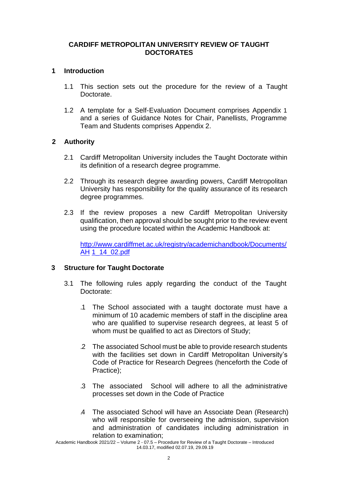## **CARDIFF METROPOLITAN UNIVERSITY REVIEW OF TAUGHT DOCTORATES**

## **1 Introduction**

- 1.1 This section sets out the procedure for the review of a Taught Doctorate.
- 1.2 A template for a Self-Evaluation Document comprises Appendix 1 and a series of Guidance Notes for Chair, Panellists, Programme Team and Students comprises Appendix 2.

## **2 Authority**

- 2.1 Cardiff Metropolitan University includes the Taught Doctorate within its definition of a research degree programme.
- 2.2 Through its research degree awarding powers, Cardiff Metropolitan University has responsibility for the quality assurance of its research degree programmes.
- 2.3 If the review proposes a new Cardiff Metropolitan University qualification, then approval should be sought prior to the review event using the procedure located within the Academic Handbook at:

[http://www.cardiffmet.ac.uk/registry/academichandbook/Documents/](http://www.cardiffmet.ac.uk/registry/academichandbook/Documents/AH1_14_02.pdf) [AH](http://www.cardiffmet.ac.uk/registry/academichandbook/Documents/AH1_14_02.pdf) [1\\_14\\_02.pdf](http://www.cardiffmet.ac.uk/registry/academichandbook/Documents/AH1_14_02.pdf)

# **3 Structure for Taught Doctorate**

- 3.1 The following rules apply regarding the conduct of the Taught Doctorate:
	- .1 The School associated with a taught doctorate must have a minimum of 10 academic members of staff in the discipline area who are qualified to supervise research degrees, at least 5 of whom must be qualified to act as Directors of Study;
	- .2 The associated School must be able to provide research students with the facilities set down in Cardiff Metropolitan University's Code of Practice for Research Degrees (henceforth the Code of Practice);
	- .3 The associated School will adhere to all the administrative processes set down in the Code of Practice
	- .4 The associated School will have an Associate Dean (Research) who will responsible for overseeing the admission, supervision and administration of candidates including administration in relation to examination;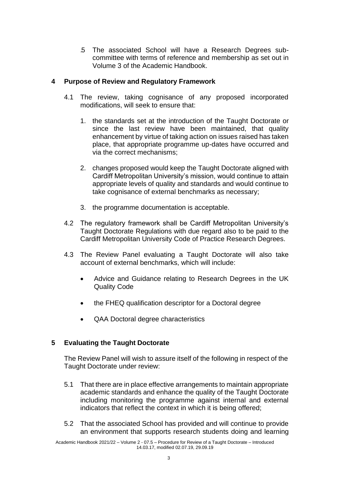.5 The associated School will have a Research Degrees subcommittee with terms of reference and membership as set out in Volume 3 of the Academic Handbook.

## **4 Purpose of Review and Regulatory Framework**

- 4.1 The review, taking cognisance of any proposed incorporated modifications, will seek to ensure that:
	- 1. the standards set at the introduction of the Taught Doctorate or since the last review have been maintained, that quality enhancement by virtue of taking action on issues raised has taken place, that appropriate programme up-dates have occurred and via the correct mechanisms;
	- 2. changes proposed would keep the Taught Doctorate aligned with Cardiff Metropolitan University's mission, would continue to attain appropriate levels of quality and standards and would continue to take cognisance of external benchmarks as necessary;
	- 3. the programme documentation is acceptable.
- 4.2 The regulatory framework shall be Cardiff Metropolitan University's Taught Doctorate Regulations with due regard also to be paid to the Cardiff Metropolitan University Code of Practice Research Degrees.
- 4.3 The Review Panel evaluating a Taught Doctorate will also take account of external benchmarks, which will include:
	- Advice and Guidance relating to Research Degrees in the UK Quality Code
	- the FHEQ qualification descriptor for a Doctoral degree
	- QAA Doctoral degree characteristics

# **5 Evaluating the Taught Doctorate**

The Review Panel will wish to assure itself of the following in respect of the Taught Doctorate under review:

- 5.1 That there are in place effective arrangements to maintain appropriate academic standards and enhance the quality of the Taught Doctorate including monitoring the programme against internal and external indicators that reflect the context in which it is being offered;
- 5.2 That the associated School has provided and will continue to provide an environment that supports research students doing and learning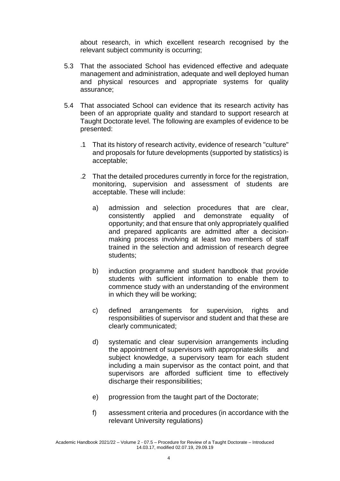about research, in which excellent research recognised by the relevant subject community is occurring;

- 5.3 That the associated School has evidenced effective and adequate management and administration, adequate and well deployed human and physical resources and appropriate systems for quality assurance;
- 5.4 That associated School can evidence that its research activity has been of an appropriate quality and standard to support research at Taught Doctorate level. The following are examples of evidence to be presented:
	- .1 That its history of research activity, evidence of research "culture" and proposals for future developments (supported by statistics) is acceptable;
	- .2 That the detailed procedures currently in force for the registration, monitoring, supervision and assessment of students are acceptable. These will include:
		- a) admission and selection procedures that are clear, consistently applied and demonstrate equality of opportunity; and that ensure that only appropriately qualified and prepared applicants are admitted after a decisionmaking process involving at least two members of staff trained in the selection and admission of research degree students;
		- b) induction programme and student handbook that provide students with sufficient information to enable them to commence study with an understanding of the environment in which they will be working;
		- c) defined arrangements for supervision, rights and responsibilities of supervisor and student and that these are clearly communicated;
		- d) systematic and clear supervision arrangements including the appointment of supervisors with appropriateskills and subject knowledge, a supervisory team for each student including a main supervisor as the contact point, and that supervisors are afforded sufficient time to effectively discharge their responsibilities;
		- e) progression from the taught part of the Doctorate;
		- f) assessment criteria and procedures (in accordance with the relevant University regulations)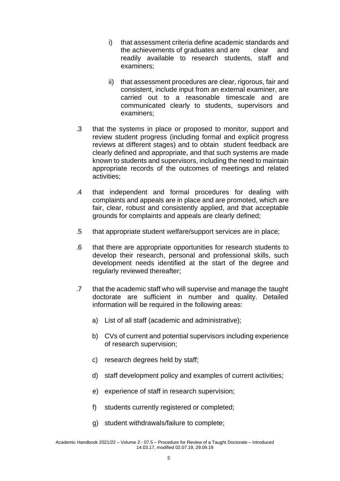- i) that assessment criteria define academic standards and the achievements of graduates and are clear and readily available to research students, staff and examiners;
- ii) that assessment procedures are clear, rigorous, fair and consistent, include input from an external examiner, are carried out to a reasonable timescale and are communicated clearly to students, supervisors and examiners;
- .3 that the systems in place or proposed to monitor, support and review student progress (including formal and explicit progress reviews at different stages) and to obtain student feedback are clearly defined and appropriate, and that such systems are made known to students and supervisors, including the need to maintain appropriate records of the outcomes of meetings and related activities;
- .4 that independent and formal procedures for dealing with complaints and appeals are in place and are promoted, which are fair, clear, robust and consistently applied, and that acceptable grounds for complaints and appeals are clearly defined;
- .5 that appropriate student welfare/support services are in place;
- .6 that there are appropriate opportunities for research students to develop their research, personal and professional skills, such development needs identified at the start of the degree and regularly reviewed thereafter;
- .7 that the academic staff who will supervise and manage the taught doctorate are sufficient in number and quality. Detailed information will be required in the following areas:
	- a) List of all staff (academic and administrative);
	- b) CVs of current and potential supervisors including experience of research supervision;
	- c) research degrees held by staff;
	- d) staff development policy and examples of current activities;
	- e) experience of staff in research supervision;
	- f) students currently registered or completed;
	- g) student withdrawals/failure to complete;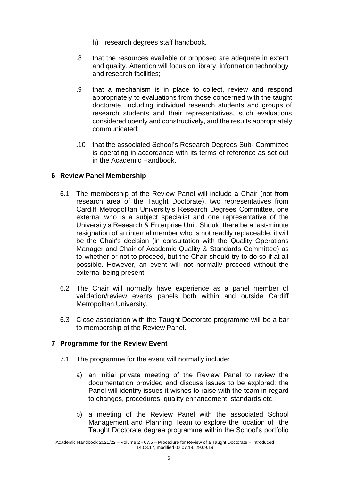- h) research degrees staff handbook.
- .8 that the resources available or proposed are adequate in extent and quality. Attention will focus on library, information technology and research facilities;
- .9 that a mechanism is in place to collect, review and respond appropriately to evaluations from those concerned with the taught doctorate, including individual research students and groups of research students and their representatives, such evaluations considered openly and constructively, and the results appropriately communicated;
- .10 that the associated School's Research Degrees Sub- Committee is operating in accordance with its terms of reference as set out in the Academic Handbook.

# **6 Review Panel Membership**

- 6.1 The membership of the Review Panel will include a Chair (not from research area of the Taught Doctorate), two representatives from Cardiff Metropolitan University's Research Degrees Committee, one external who is a subject specialist and one representative of the University's Research & Enterprise Unit. Should there be a last-minute resignation of an internal member who is not readily replaceable, it will be the Chair's decision (in consultation with the Quality Operations Manager and Chair of Academic Quality & Standards Committee) as to whether or not to proceed, but the Chair should try to do so if at all possible. However, an event will not normally proceed without the external being present.
- 6.2 The Chair will normally have experience as a panel member of validation/review events panels both within and outside Cardiff Metropolitan University.
- 6.3 Close association with the Taught Doctorate programme will be a bar to membership of the Review Panel.

## **7 Programme for the Review Event**

- 7.1 The programme for the event will normally include:
	- a) an initial private meeting of the Review Panel to review the documentation provided and discuss issues to be explored; the Panel will identify issues it wishes to raise with the team in regard to changes, procedures, quality enhancement, standards etc.;
	- b) a meeting of the Review Panel with the associated School Management and Planning Team to explore the location of the Taught Doctorate degree programme within the School's portfolio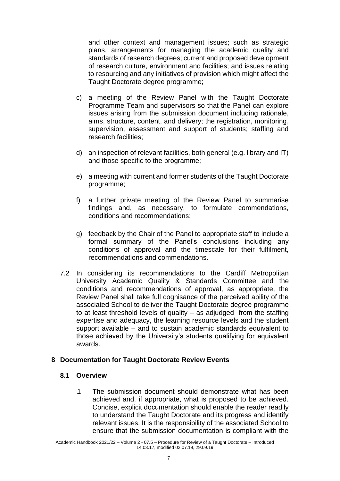and other context and management issues; such as strategic plans, arrangements for managing the academic quality and standards of research degrees; current and proposed development of research culture, environment and facilities; and issues relating to resourcing and any initiatives of provision which might affect the Taught Doctorate degree programme;

- c) a meeting of the Review Panel with the Taught Doctorate Programme Team and supervisors so that the Panel can explore issues arising from the submission document including rationale, aims, structure, content, and delivery; the registration, monitoring, supervision, assessment and support of students; staffing and research facilities;
- d) an inspection of relevant facilities, both general (e.g. library and IT) and those specific to the programme;
- e) a meeting with current and former students of the Taught Doctorate programme;
- f) a further private meeting of the Review Panel to summarise findings and, as necessary, to formulate commendations, conditions and recommendations;
- g) feedback by the Chair of the Panel to appropriate staff to include a formal summary of the Panel's conclusions including any conditions of approval and the timescale for their fulfilment, recommendations and commendations.
- 7.2 In considering its recommendations to the Cardiff Metropolitan University Academic Quality & Standards Committee and the conditions and recommendations of approval, as appropriate, the Review Panel shall take full cognisance of the perceived ability of the associated School to deliver the Taught Doctorate degree programme to at least threshold levels of quality – as adjudged from the staffing expertise and adequacy, the learning resource levels and the student support available – and to sustain academic standards equivalent to those achieved by the University's students qualifying for equivalent awards.

## **8 Documentation for Taught Doctorate Review Events**

## **8.1 Overview**

.1 The submission document should demonstrate what has been achieved and, if appropriate, what is proposed to be achieved. Concise, explicit documentation should enable the reader readily to understand the Taught Doctorate and its progress and identify relevant issues. It is the responsibility of the associated School to ensure that the submission documentation is compliant with the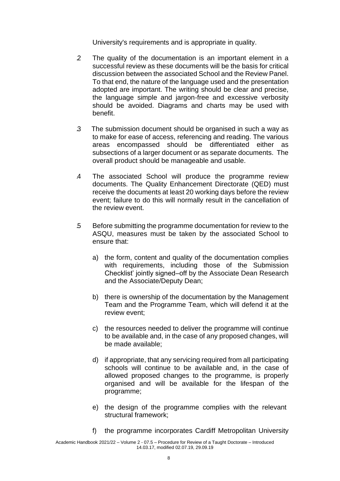University's requirements and is appropriate in quality.

- .2 The quality of the documentation is an important element in a successful review as these documents will be the basis for critical discussion between the associated School and the Review Panel. To that end, the nature of the language used and the presentation adopted are important. The writing should be clear and precise, the language simple and jargon-free and excessive verbosity should be avoided. Diagrams and charts may be used with benefit.
- .3 The submission document should be organised in such a way as to make for ease of access, referencing and reading. The various areas encompassed should be differentiated either as subsections of a larger document or as separate documents. The overall product should be manageable and usable.
- .4 The associated School will produce the programme review documents. The Quality Enhancement Directorate (QED) must receive the documents at least 20 working days before the review event; failure to do this will normally result in the cancellation of the review event.
- .5 Before submitting the programme documentation for review to the ASQU, measures must be taken by the associated School to ensure that:
	- a) the form, content and quality of the documentation complies with requirements, including those of the Submission Checklist' jointly signed–off by the Associate Dean Research and the Associate/Deputy Dean;
	- b) there is ownership of the documentation by the Management Team and the Programme Team, which will defend it at the review event;
	- c) the resources needed to deliver the programme will continue to be available and, in the case of any proposed changes, will be made available;
	- d) if appropriate, that any servicing required from all participating schools will continue to be available and, in the case of allowed proposed changes to the programme, is properly organised and will be available for the lifespan of the programme;
	- e) the design of the programme complies with the relevant structural framework;
	- f) the programme incorporates Cardiff Metropolitan University

Academic Handbook 2021/22 – Volume 2 - 07.5 – Procedure for Review of a Taught Doctorate – Introduced 14.03.17, modified 02.07.19, 29.09.19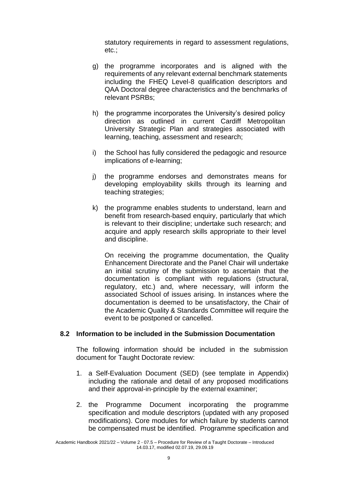statutory requirements in regard to assessment regulations, etc.;

- g) the programme incorporates and is aligned with the requirements of any relevant external benchmark statements including the FHEQ Level-8 qualification descriptors and QAA Doctoral degree characteristics and the benchmarks of relevant PSRBs;
- h) the programme incorporates the University's desired policy direction as outlined in current Cardiff Metropolitan University Strategic Plan and strategies associated with learning, teaching, assessment and research;
- i) the School has fully considered the pedagogic and resource implications of e-learning;
- j) the programme endorses and demonstrates means for developing employability skills through its learning and teaching strategies;
- k) the programme enables students to understand, learn and benefit from research-based enquiry, particularly that which is relevant to their discipline; undertake such research; and acquire and apply research skills appropriate to their level and discipline.

On receiving the programme documentation, the Quality Enhancement Directorate and the Panel Chair will undertake an initial scrutiny of the submission to ascertain that the documentation is compliant with regulations (structural, regulatory, etc.) and, where necessary, will inform the associated School of issues arising. In instances where the documentation is deemed to be unsatisfactory, the Chair of the Academic Quality & Standards Committee will require the event to be postponed or cancelled.

## **8.2 Information to be included in the Submission Documentation**

The following information should be included in the submission document for Taught Doctorate review:

- 1. a Self-Evaluation Document (SED) (see template in Appendix) including the rationale and detail of any proposed modifications and their approval-in-principle by the external examiner;
- 2. the Programme Document incorporating the programme specification and module descriptors (updated with any proposed modifications). Core modules for which failure by students cannot be compensated must be identified. Programme specification and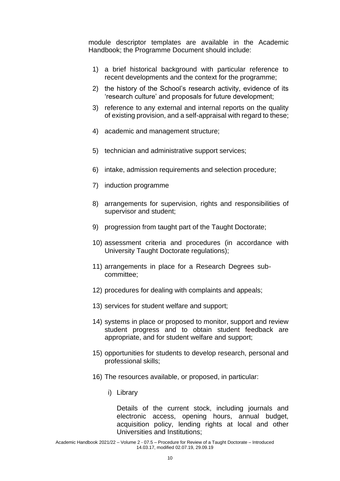module descriptor templates are available in the Academic Handbook; the Programme Document should include:

- 1) a brief historical background with particular reference to recent developments and the context for the programme;
- 2) the history of the School's research activity, evidence of its 'research culture' and proposals for future development;
- 3) reference to any external and internal reports on the quality of existing provision, and a self-appraisal with regard to these;
- 4) academic and management structure;
- 5) technician and administrative support services;
- 6) intake, admission requirements and selection procedure;
- 7) induction programme
- 8) arrangements for supervision, rights and responsibilities of supervisor and student;
- 9) progression from taught part of the Taught Doctorate;
- 10) assessment criteria and procedures (in accordance with University Taught Doctorate regulations);
- 11) arrangements in place for a Research Degrees subcommittee;
- 12) procedures for dealing with complaints and appeals;
- 13) services for student welfare and support;
- 14) systems in place or proposed to monitor, support and review student progress and to obtain student feedback are appropriate, and for student welfare and support;
- 15) opportunities for students to develop research, personal and professional skills;
- 16) The resources available, or proposed, in particular:
	- i) Library

Details of the current stock, including journals and electronic access, opening hours, annual budget, acquisition policy, lending rights at local and other Universities and Institutions;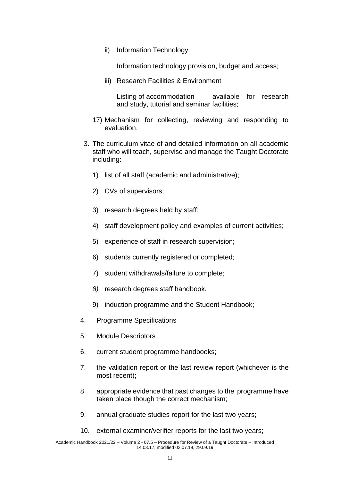ii) Information Technology

Information technology provision, budget and access;

iii) Research Facilities & Environment

Listing of accommodation available for research and study, tutorial and seminar facilities;

- 17) Mechanism for collecting, reviewing and responding to evaluation.
- 3. The curriculum vitae of and detailed information on all academic staff who will teach, supervise and manage the Taught Doctorate including:
	- 1) list of all staff (academic and administrative);
	- 2) CVs of supervisors;
	- 3) research degrees held by staff;
	- 4) staff development policy and examples of current activities;
	- 5) experience of staff in research supervision;
	- 6) students currently registered or completed;
	- 7) student withdrawals/failure to complete;
	- *8)* research degrees staff handbook*.*
	- 9) induction programme and the Student Handbook;
- 4. Programme Specifications
- 5. Module Descriptors
- 6. current student programme handbooks;
- 7. the validation report or the last review report (whichever is the most recent);
- 8. appropriate evidence that past changes to the programme have taken place though the correct mechanism;
- 9. annual graduate studies report for the last two years;
- 10. external examiner/verifier reports for the last two years;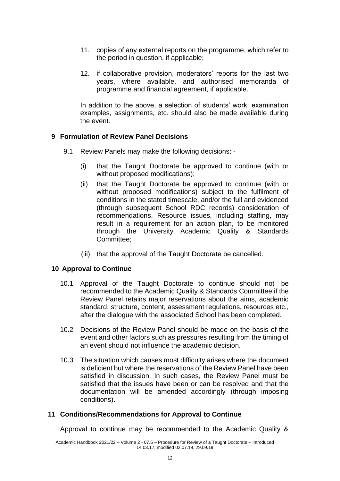- 11. copies of any external reports on the programme, which refer to the period in question, if applicable;
- 12. if collaborative provision, moderators' reports for the last two years, where available, and authorised memoranda of programme and financial agreement, if applicable.

In addition to the above, a selection of students' work; examination examples, assignments, etc. should also be made available during the event.

## **9 Formulation of Review Panel Decisions**

- 9.1 Review Panels may make the following decisions:
	- (i) that the Taught Doctorate be approved to continue (with or without proposed modifications);
	- (ii) that the Taught Doctorate be approved to continue (with or without proposed modifications) subject to the fulfilment of conditions in the stated timescale, and/or the full and evidenced (through subsequent School RDC records) consideration of recommendations. Resource issues, including staffing, may result in a requirement for an action plan, to be monitored through the University Academic Quality & Standards Committee;
	- (iii) that the approval of the Taught Doctorate be cancelled.

## **10 Approval to Continue**

- 10.1 Approval of the Taught Doctorate to continue should not be recommended to the Academic Quality & Standards Committee if the Review Panel retains major reservations about the aims, academic standard, structure, content, assessment regulations, resources etc., after the dialogue with the associated School has been completed.
- 10.2 Decisions of the Review Panel should be made on the basis of the event and other factors such as pressures resulting from the timing of an event should not influence the academic decision.
- 10.3 The situation which causes most difficulty arises where the document is deficient but where the reservations of the Review Panel have been satisfied in discussion. In such cases, the Review Panel must be satisfied that the issues have been or can be resolved and that the documentation will be amended accordingly (through imposing conditions).

## **11 Conditions/Recommendations for Approval to Continue**

Approval to continue may be recommended to the Academic Quality &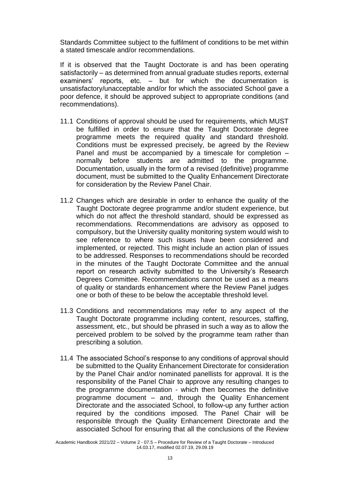Standards Committee subject to the fulfilment of conditions to be met within a stated timescale and/or recommendations.

If it is observed that the Taught Doctorate is and has been operating satisfactorily – as determined from annual graduate studies reports, external examiners' reports, etc. – but for which the documentation is unsatisfactory/unacceptable and/or for which the associated School gave a poor defence, it should be approved subject to appropriate conditions (and recommendations).

- 11.1 Conditions of approval should be used for requirements, which MUST be fulfilled in order to ensure that the Taught Doctorate degree programme meets the required quality and standard threshold. Conditions must be expressed precisely, be agreed by the Review Panel and must be accompanied by a timescale for completion – normally before students are admitted to the programme. Documentation, usually in the form of a revised (definitive) programme document, must be submitted to the Quality Enhancement Directorate for consideration by the Review Panel Chair.
- 11.2 Changes which are desirable in order to enhance the quality of the Taught Doctorate degree programme and/or student experience, but which do not affect the threshold standard, should be expressed as recommendations. Recommendations are advisory as opposed to compulsory, but the University quality monitoring system would wish to see reference to where such issues have been considered and implemented, or rejected. This might include an action plan of issues to be addressed. Responses to recommendations should be recorded in the minutes of the Taught Doctorate Committee and the annual report on research activity submitted to the University's Research Degrees Committee. Recommendations cannot be used as a means of quality or standards enhancement where the Review Panel judges one or both of these to be below the acceptable threshold level.
- 11.3 Conditions and recommendations may refer to any aspect of the Taught Doctorate programme including content, resources, staffing, assessment, etc., but should be phrased in such a way as to allow the perceived problem to be solved by the programme team rather than prescribing a solution.
- 11.4 The associated School's response to any conditions of approval should be submitted to the Quality Enhancement Directorate for consideration by the Panel Chair and/or nominated panellists for approval. It is the responsibility of the Panel Chair to approve any resulting changes to the programme documentation - which then becomes the definitive programme document – and, through the Quality Enhancement Directorate and the associated School, to follow-up any further action required by the conditions imposed. The Panel Chair will be responsible through the Quality Enhancement Directorate and the associated School for ensuring that all the conclusions of the Review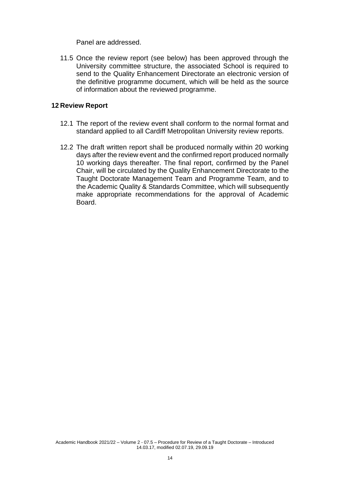Panel are addressed.

11.5 Once the review report (see below) has been approved through the University committee structure, the associated School is required to send to the Quality Enhancement Directorate an electronic version of the definitive programme document, which will be held as the source of information about the reviewed programme.

## **12 Review Report**

- 12.1 The report of the review event shall conform to the normal format and standard applied to all Cardiff Metropolitan University review reports.
- 12.2 The draft written report shall be produced normally within 20 working days after the review event and the confirmed report produced normally 10 working days thereafter. The final report, confirmed by the Panel Chair, will be circulated by the Quality Enhancement Directorate to the Taught Doctorate Management Team and Programme Team, and to the Academic Quality & Standards Committee, which will subsequently make appropriate recommendations for the approval of Academic Board.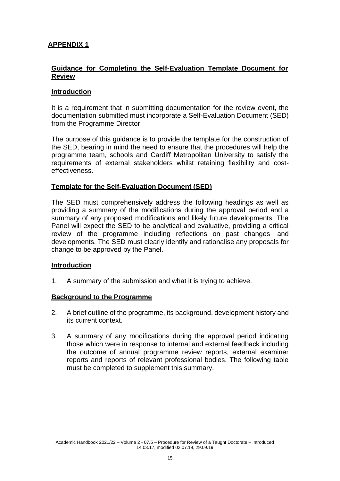# **APPENDIX 1**

## **Guidance for Completing the Self-Evaluation Template Document for Review**

## **Introduction**

It is a requirement that in submitting documentation for the review event, the documentation submitted must incorporate a Self-Evaluation Document (SED) from the Programme Director.

The purpose of this guidance is to provide the template for the construction of the SED, bearing in mind the need to ensure that the procedures will help the programme team, schools and Cardiff Metropolitan University to satisfy the requirements of external stakeholders whilst retaining flexibility and costeffectiveness.

## **Template for the Self-Evaluation Document (SED)**

The SED must comprehensively address the following headings as well as providing a summary of the modifications during the approval period and a summary of any proposed modifications and likely future developments. The Panel will expect the SED to be analytical and evaluative, providing a critical review of the programme including reflections on past changes and developments. The SED must clearly identify and rationalise any proposals for change to be approved by the Panel.

#### **Introduction**

1. A summary of the submission and what it is trying to achieve.

#### **Background to the Programme**

- 2. A brief outline of the programme, its background, development history and its current context.
- 3. A summary of any modifications during the approval period indicating those which were in response to internal and external feedback including the outcome of annual programme review reports, external examiner reports and reports of relevant professional bodies. The following table must be completed to supplement this summary.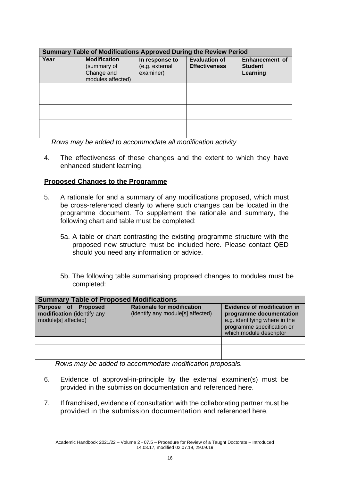| <b>Summary Table of Modifications Approved During the Review Period</b> |                                                                       |                                               |                                              |                                                     |  |
|-------------------------------------------------------------------------|-----------------------------------------------------------------------|-----------------------------------------------|----------------------------------------------|-----------------------------------------------------|--|
| Year                                                                    | <b>Modification</b><br>(summary of<br>Change and<br>modules affected) | In response to<br>(e.g. external<br>examiner) | <b>Evaluation of</b><br><b>Effectiveness</b> | <b>Enhancement of</b><br><b>Student</b><br>Learning |  |
|                                                                         |                                                                       |                                               |                                              |                                                     |  |
|                                                                         |                                                                       |                                               |                                              |                                                     |  |
|                                                                         |                                                                       |                                               |                                              |                                                     |  |

*Rows may be added to accommodate all modification activity*

4. The effectiveness of these changes and the extent to which they have enhanced student learning.

## **Proposed Changes to the Programme**

- 5. A rationale for and a summary of any modifications proposed, which must be cross-referenced clearly to where such changes can be located in the programme document. To supplement the rationale and summary, the following chart and table must be completed:
	- 5a. A table or chart contrasting the existing programme structure with the proposed new structure must be included here. Please contact QED should you need any information or advice.
	- 5b. The following table summarising proposed changes to modules must be completed:

| <b>Summary Table of Proposed Modifications</b>                           |                                                                        |                                                                                                                                                  |  |  |  |
|--------------------------------------------------------------------------|------------------------------------------------------------------------|--------------------------------------------------------------------------------------------------------------------------------------------------|--|--|--|
| Purpose of Proposed<br>modification (identify any<br>module[s] affected) | <b>Rationale for modification</b><br>(identify any module[s] affected) | Evidence of modification in<br>programme documentation<br>e.g. identifying where in the<br>programme specification or<br>which module descriptor |  |  |  |
|                                                                          |                                                                        |                                                                                                                                                  |  |  |  |
|                                                                          |                                                                        |                                                                                                                                                  |  |  |  |
|                                                                          |                                                                        |                                                                                                                                                  |  |  |  |

*Rows may be added to accommodate modification proposals.*

- 6. Evidence of approval-in-principle by the external examiner(s) must be provided in the submission documentation and referenced here.
- 7. If franchised, evidence of consultation with the collaborating partner must be provided in the submission documentation and referenced here,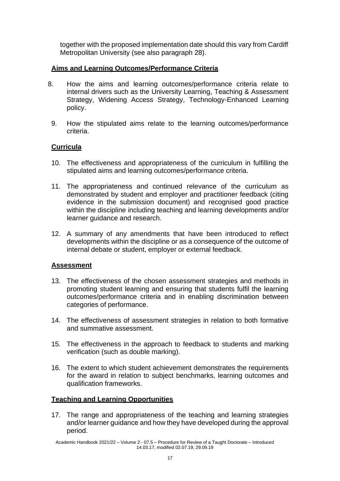together with the proposed implementation date should this vary from Cardiff Metropolitan University (see also paragraph 28).

# **Aims and Learning Outcomes/Performance Criteria**

- 8. How the aims and learning outcomes/performance criteria relate to internal drivers such as the University Learning, Teaching & Assessment Strategy, Widening Access Strategy, Technology-Enhanced Learning policy.
	- 9. How the stipulated aims relate to the learning outcomes/performance criteria.

# **Curricula**

- 10. The effectiveness and appropriateness of the curriculum in fulfilling the stipulated aims and learning outcomes/performance criteria.
- 11. The appropriateness and continued relevance of the curriculum as demonstrated by student and employer and practitioner feedback (citing evidence in the submission document) and recognised good practice within the discipline including teaching and learning developments and/or learner guidance and research.
- 12. A summary of any amendments that have been introduced to reflect developments within the discipline or as a consequence of the outcome of internal debate or student, employer or external feedback.

## **Assessment**

- 13. The effectiveness of the chosen assessment strategies and methods in promoting student learning and ensuring that students fulfil the learning outcomes/performance criteria and in enabling discrimination between categories of performance.
- 14. The effectiveness of assessment strategies in relation to both formative and summative assessment.
- 15. The effectiveness in the approach to feedback to students and marking verification (such as double marking).
- 16. The extent to which student achievement demonstrates the requirements for the award in relation to subject benchmarks, learning outcomes and qualification frameworks.

## **Teaching and Learning Opportunities**

17. The range and appropriateness of the teaching and learning strategies and/or learner guidance and how they have developed during the approval period.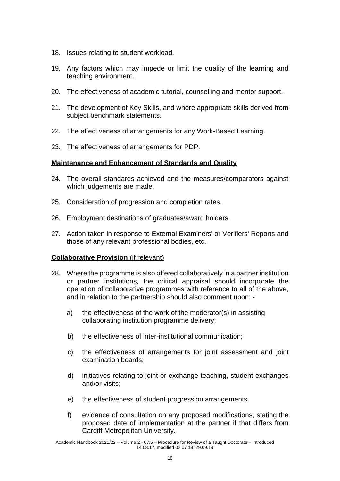- 18. Issues relating to student workload.
- 19. Any factors which may impede or limit the quality of the learning and teaching environment.
- 20. The effectiveness of academic tutorial, counselling and mentor support.
- 21. The development of Key Skills, and where appropriate skills derived from subject benchmark statements.
- 22. The effectiveness of arrangements for any Work-Based Learning.
- 23. The effectiveness of arrangements for PDP.

## **Maintenance and Enhancement of Standards and Quality**

- 24. The overall standards achieved and the measures/comparators against which judgements are made.
- 25. Consideration of progression and completion rates.
- 26. Employment destinations of graduates/award holders.
- 27. Action taken in response to External Examiners' or Verifiers' Reports and those of any relevant professional bodies, etc.

## **Collaborative Provision** (if relevant)

- 28. Where the programme is also offered collaboratively in a partner institution or partner institutions, the critical appraisal should incorporate the operation of collaborative programmes with reference to all of the above, and in relation to the partnership should also comment upon:
	- a) the effectiveness of the work of the moderator(s) in assisting collaborating institution programme delivery;
	- b) the effectiveness of inter-institutional communication;
	- c) the effectiveness of arrangements for joint assessment and joint examination boards;
	- d) initiatives relating to joint or exchange teaching, student exchanges and/or visits;
	- e) the effectiveness of student progression arrangements.
	- f) evidence of consultation on any proposed modifications, stating the proposed date of implementation at the partner if that differs from Cardiff Metropolitan University.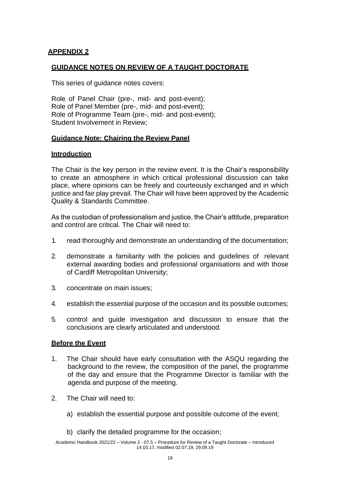# **APPENDIX 2**

## **GUIDANCE NOTES ON REVIEW OF A TAUGHT DOCTORATE**

This series of guidance notes covers:

Role of Panel Chair (pre-, mid- and post-event); Role of Panel Member (pre-, mid- and post-event); Role of Programme Team (pre-, mid- and post-event); Student Involvement in Review;

#### **Guidance Note: Chairing the Review Panel**

#### **Introduction**

The Chair is the key person in the review event. It is the Chair's responsibility to create an atmosphere in which critical professional discussion can take place, where opinions can be freely and courteously exchanged and in which justice and fair play prevail. The Chair will have been approved by the Academic Quality & Standards Committee.

As the custodian of professionalism and justice, the Chair's attitude, preparation and control are critical. The Chair will need to:

- 1. read thoroughly and demonstrate an understanding of the documentation;
- 2. demonstrate a familiarity with the policies and guidelines of relevant external awarding bodies and professional organisations and with those of Cardiff Metropolitan University;
- 3. concentrate on main issues;
- 4. establish the essential purpose of the occasion and its possible outcomes;
- 5. control and guide investigation and discussion to ensure that the conclusions are clearly articulated and understood.

## **Before the Event**

- 1. The Chair should have early consultation with the ASQU regarding the background to the review, the composition of the panel, the programme of the day and ensure that the Programme Director is familiar with the agenda and purpose of the meeting.
- 2. The Chair will need to:
	- a) establish the essential purpose and possible outcome of the event;
	- b) clarify the detailed programme for the occasion;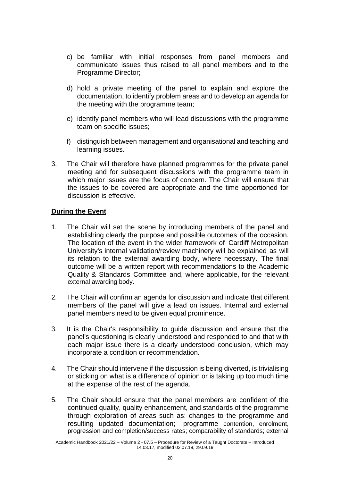- c) be familiar with initial responses from panel members and communicate issues thus raised to all panel members and to the Programme Director;
- d) hold a private meeting of the panel to explain and explore the documentation, to identify problem areas and to develop an agenda for the meeting with the programme team;
- e) identify panel members who will lead discussions with the programme team on specific issues;
- f) distinguish between management and organisational and teaching and learning issues.
- 3. The Chair will therefore have planned programmes for the private panel meeting and for subsequent discussions with the programme team in which major issues are the focus of concern. The Chair will ensure that the issues to be covered are appropriate and the time apportioned for discussion is effective.

## **During the Event**

- 1. The Chair will set the scene by introducing members of the panel and establishing clearly the purpose and possible outcomes of the occasion. The location of the event in the wider framework of Cardiff Metropolitan University's internal validation/review machinery will be explained as will its relation to the external awarding body, where necessary. The final outcome will be a written report with recommendations to the Academic Quality & Standards Committee and, where applicable, for the relevant external awarding body.
- 2. The Chair will confirm an agenda for discussion and indicate that different members of the panel will give a lead on issues. Internal and external panel members need to be given equal prominence.
- 3. It is the Chair's responsibility to guide discussion and ensure that the panel's questioning is clearly understood and responded to and that with each major issue there is a clearly understood conclusion, which may incorporate a condition or recommendation.
- 4. The Chair should intervene if the discussion is being diverted, is trivialising or sticking on what is a difference of opinion or is taking up too much time at the expense of the rest of the agenda.
- 5. The Chair should ensure that the panel members are confident of the continued quality, quality enhancement, and standards of the programme through exploration of areas such as: changes to the programme and resulting updated documentation; programme contention, enrolment, progression and completion/success rates; comparability of standards; external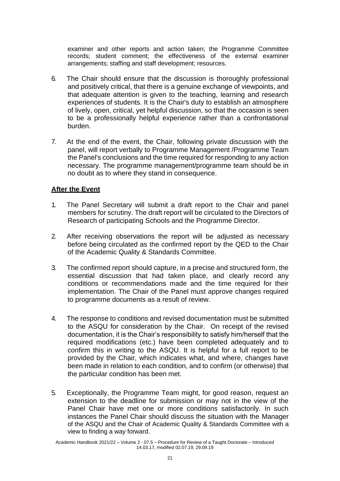examiner and other reports and action taken; the Programme Committee records; student comment; the effectiveness of the external examiner arrangements; staffing and staff development; resources.

- 6. The Chair should ensure that the discussion is thoroughly professional and positively critical, that there is a genuine exchange of viewpoints, and that adequate attention is given to the teaching, learning and research experiences of students. It is the Chair's duty to establish an atmosphere of lively, open, critical, yet helpful discussion, so that the occasion is seen to be a professionally helpful experience rather than a confrontational burden.
- 7. At the end of the event, the Chair, following private discussion with the panel, will report verbally to Programme Management /Programme Team the Panel's conclusions and the time required for responding to any action necessary. The programme management/programme team should be in no doubt as to where they stand in consequence.

# **After the Event**

- 1. The Panel Secretary will submit a draft report to the Chair and panel members for scrutiny. The draft report will be circulated to the Directors of Research of participating Schools and the Programme Director.
- 2. After receiving observations the report will be adjusted as necessary before being circulated as the confirmed report by the QED to the Chair of the Academic Quality & Standards Committee.
- 3. The confirmed report should capture, in a precise and structured form, the essential discussion that had taken place, and clearly record any conditions or recommendations made and the time required for their implementation. The Chair of the Panel must approve changes required to programme documents as a result of review.
- 4. The response to conditions and revised documentation must be submitted to the ASQU for consideration by the Chair. On receipt of the revised documentation, it is the Chair's responsibility to satisfy him/herself that the required modifications (etc.) have been completed adequately and to confirm this in writing to the ASQU. It is helpful for a full report to be provided by the Chair, which indicates what, and where, changes have been made in relation to each condition, and to confirm (or otherwise) that the particular condition has been met.
- 5. Exceptionally, the Programme Team might, for good reason, request an extension to the deadline for submission or may not in the view of the Panel Chair have met one or more conditions satisfactorily. In such instances the Panel Chair should discuss the situation with the Manager of the ASQU and the Chair of Academic Quality & Standards Committee with a view to finding a way forward.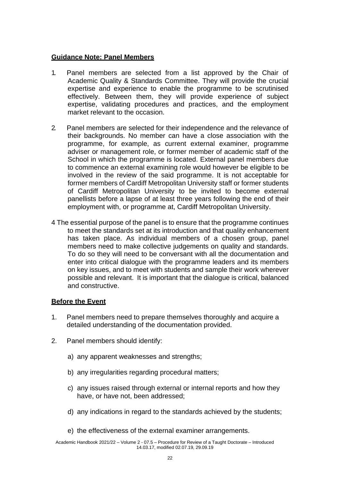## **Guidance Note: Panel Members**

- 1. Panel members are selected from a list approved by the Chair of Academic Quality & Standards Committee. They will provide the crucial expertise and experience to enable the programme to be scrutinised effectively. Between them, they will provide experience of subject expertise, validating procedures and practices, and the employment market relevant to the occasion.
- 2. Panel members are selected for their independence and the relevance of their backgrounds. No member can have a close association with the programme, for example, as current external examiner, programme adviser or management role, or former member of academic staff of the School in which the programme is located. External panel members due to commence an external examining role would however be eligible to be involved in the review of the said programme. It is not acceptable for former members of Cardiff Metropolitan University staff or former students of Cardiff Metropolitan University to be invited to become external panellists before a lapse of at least three years following the end of their employment with, or programme at, Cardiff Metropolitan University.
- 4 The essential purpose of the panel is to ensure that the programme continues to meet the standards set at its introduction and that quality enhancement has taken place. As individual members of a chosen group, panel members need to make collective judgements on quality and standards. To do so they will need to be conversant with all the documentation and enter into critical dialogue with the programme leaders and its members on key issues, and to meet with students and sample their work wherever possible and relevant. It is important that the dialogue is critical, balanced and constructive.

#### **Before the Event**

- 1. Panel members need to prepare themselves thoroughly and acquire a detailed understanding of the documentation provided.
- 2. Panel members should identify:
	- a) any apparent weaknesses and strengths;
	- b) any irregularities regarding procedural matters;
	- c) any issues raised through external or internal reports and how they have, or have not, been addressed;
	- d) any indications in regard to the standards achieved by the students;
	- e) the effectiveness of the external examiner arrangements.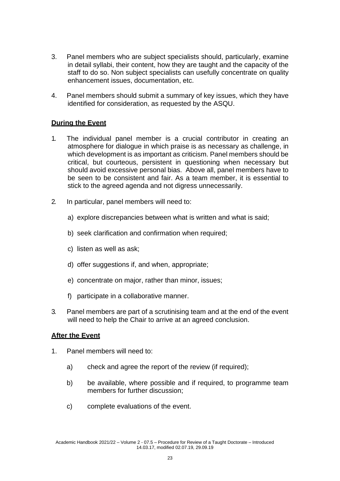- 3. Panel members who are subject specialists should, particularly, examine in detail syllabi, their content, how they are taught and the capacity of the staff to do so. Non subject specialists can usefully concentrate on quality enhancement issues, documentation, etc.
- 4. Panel members should submit a summary of key issues, which they have identified for consideration, as requested by the ASQU.

# **During the Event**

- 1. The individual panel member is a crucial contributor in creating an atmosphere for dialogue in which praise is as necessary as challenge, in which development is as important as criticism. Panel members should be critical, but courteous, persistent in questioning when necessary but should avoid excessive personal bias. Above all, panel members have to be seen to be consistent and fair. As a team member, it is essential to stick to the agreed agenda and not digress unnecessarily.
- 2. In particular, panel members will need to:
	- a) explore discrepancies between what is written and what is said;
	- b) seek clarification and confirmation when required;
	- c) listen as well as ask;
	- d) offer suggestions if, and when, appropriate;
	- e) concentrate on major, rather than minor, issues;
	- f) participate in a collaborative manner.
- 3. Panel members are part of a scrutinising team and at the end of the event will need to help the Chair to arrive at an agreed conclusion.

# **After the Event**

- 1. Panel members will need to:
	- a) check and agree the report of the review (if required);
	- b) be available, where possible and if required, to programme team members for further discussion;
	- c) complete evaluations of the event.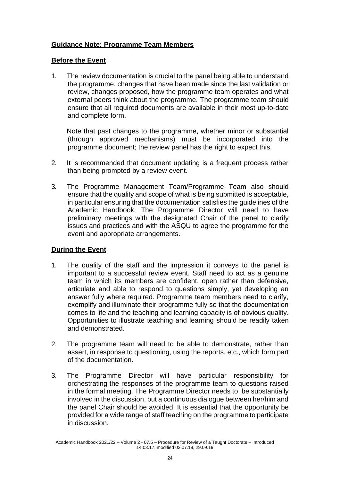# **Guidance Note: Programme Team Members**

## **Before the Event**

1. The review documentation is crucial to the panel being able to understand the programme, changes that have been made since the last validation or review, changes proposed, how the programme team operates and what external peers think about the programme. The programme team should ensure that all required documents are available in their most up-to-date and complete form.

Note that past changes to the programme, whether minor or substantial (through approved mechanisms) must be incorporated into the programme document; the review panel has the right to expect this.

- 2. It is recommended that document updating is a frequent process rather than being prompted by a review event.
- 3. The Programme Management Team/Programme Team also should ensure that the quality and scope of what is being submitted is acceptable, in particular ensuring that the documentation satisfies the guidelines of the Academic Handbook. The Programme Director will need to have preliminary meetings with the designated Chair of the panel to clarify issues and practices and with the ASQU to agree the programme for the event and appropriate arrangements.

# **During the Event**

- 1. The quality of the staff and the impression it conveys to the panel is important to a successful review event. Staff need to act as a genuine team in which its members are confident, open rather than defensive, articulate and able to respond to questions simply, yet developing an answer fully where required. Programme team members need to clarify, exemplify and illuminate their programme fully so that the documentation comes to life and the teaching and learning capacity is of obvious quality. Opportunities to illustrate teaching and learning should be readily taken and demonstrated.
- 2. The programme team will need to be able to demonstrate, rather than assert, in response to questioning, using the reports, etc., which form part of the documentation.
- 3. The Programme Director will have particular responsibility for orchestrating the responses of the programme team to questions raised in the formal meeting. The Programme Director needs to be substantially involved in the discussion, but a continuous dialogue between her/him and the panel Chair should be avoided. It is essential that the opportunity be provided for a wide range of staff teaching on the programme to participate in discussion.